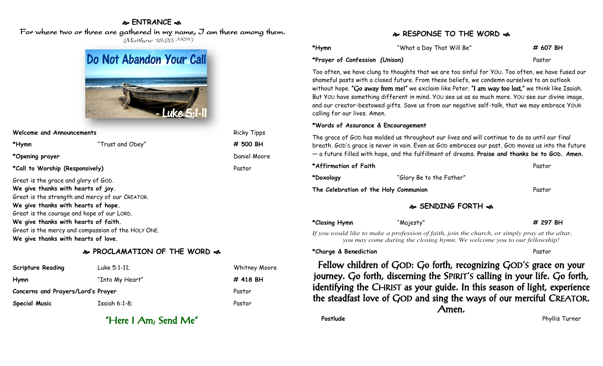### **ENTRANCE**

## For where two or three are gathered in my name, I am there among them.

(Matthew 18:20; NRSV)

|  | Do Not Abandon Your Call |
|--|--------------------------|
|  |                          |
|  | - Luke 5:1-11            |

**Welcome and Announcements** Ricky Tipps Ricky Tipps **\*Hymn** "Trust and Obey" **# 500 BH \*Opening prayer Daniel Moore Constanting prayer Daniel Moore Daniel Moore \*Call to Worship (Responsively)** Pastor Great is the grace and glory of GOD. **We give thanks with hearts of joy.** Great is the strength and mercy of our CREATOR. **We give thanks with hearts of hope.** Great is the courage and hope of our LORD. **We give thanks with hearts of faith.** Great is the mercy and compassion of the HOLY ONE. **We give thanks with hearts of love.**

## **PROCLAMATION OF THE WORD**

| <b>Scripture Reading</b>           | Luke 5:1-11;    | <b>Whitney Moore</b> |
|------------------------------------|-----------------|----------------------|
| Hymn                               | "Into My Heart" | # 418 BH             |
| Concerns and Prayers/Lord's Prayer |                 | Pastor               |
| <b>Special Music</b>               | $Isaiah 6:1-8;$ | Pastor               |

"Here I Am; Send Me"

# **RESPONSE TO THE WORD of**

| *Hymn                          | "What a Day That Will Be" | # 607 BH |
|--------------------------------|---------------------------|----------|
| *Prayer of Confession (Unison) |                           | Pastor   |

Too often, we have clung to thoughts that we are too sinful for YOU. Too often, we have fused our shameful pasts with a closed future. From these beliefs, we condemn ourselves to an outlook without hope. "Go away from me!" we exclaim like Peter. "I am way too lost," we think like Isaiah. But YOU have something different in mind. YOU see us as so much more. YOU see our divine image, and our creator-bestowed gifts. Save us from our negative self-talk, that we may embrace YOUR calling for our lives. Amen.

#### **\*Words of Assurance & Encouragement**

The grace of GOD has molded us throughout our lives and will continue to do so until our final breath. GOD'S grace is never in vain. Even as GOD embraces our past, GOD moves us into the future — a future filled with hope, and the fulfillment of dreams. **Praise and thanks be to GOD. Amen.**

| *Affirmation of Faith                 |                                  | Pastor |
|---------------------------------------|----------------------------------|--------|
| *Doxology                             | "Glory Be to the Father"         |        |
| The Celebration of the Holy Communion |                                  | Pastor |
|                                       | <b>&amp; SENDING FORTH &amp;</b> |        |

| *Closing Hymn | "Majesty"                                                               | # 297 BH                                                                                       |
|---------------|-------------------------------------------------------------------------|------------------------------------------------------------------------------------------------|
|               |                                                                         | If you would like to make a profession of faith, join the church, or simply pray at the altar, |
|               | you may come during the closing hymn. We welcome you to our fellowship! |                                                                                                |

#### **\*Charge & Benediction** Pastor

Fellow children of GOD: Go forth, recognizing GOD'S grace on your journey. Go forth, discerning the SPIRIT'S calling in your life. Go forth, identifying the CHRIST as your guide. In this season of light, experience the steadfast love of GOD and sing the ways of our merciful CREATOR. Amen.

**Postlude** Phyllis Turner